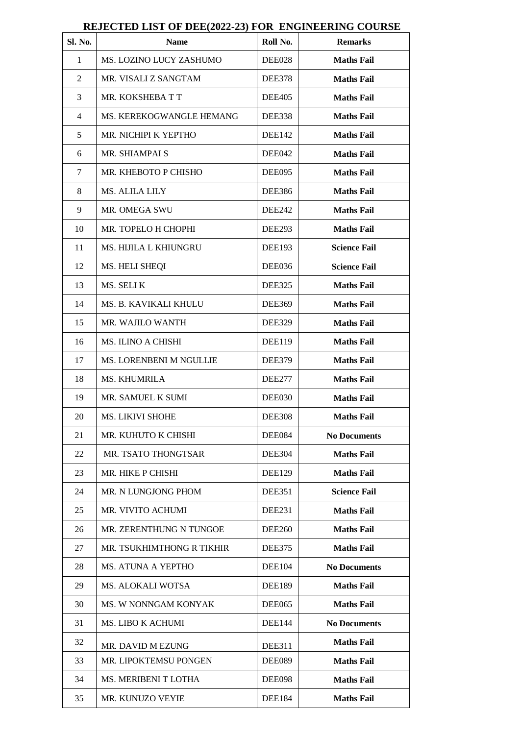| Sl. No.        | <b>Name</b>               | Roll No.      | <b>Remarks</b>      |  |
|----------------|---------------------------|---------------|---------------------|--|
| $\mathbf{1}$   | MS. LOZINO LUCY ZASHUMO   | DEE028        | <b>Maths Fail</b>   |  |
| 2              | MR. VISALI Z SANGTAM      | <b>DEE378</b> | <b>Maths Fail</b>   |  |
| 3              | MR. KOKSHEBA T T          | <b>DEE405</b> | <b>Maths Fail</b>   |  |
| $\overline{4}$ | MS. KEREKOGWANGLE HEMANG  | DEE338        | <b>Maths Fail</b>   |  |
| 5              | MR. NICHIPI K YEPTHO      | DEE142        | <b>Maths Fail</b>   |  |
| 6              | MR. SHIAMPAI S            | DEE042        | <b>Maths Fail</b>   |  |
| 7              | MR. KHEBOTO P CHISHO      | DEE095        | <b>Maths Fail</b>   |  |
| 8              | MS. ALILA LILY            | <b>DEE386</b> | <b>Maths Fail</b>   |  |
| 9              | MR. OMEGA SWU             | <b>DEE242</b> | <b>Maths Fail</b>   |  |
| 10             | MR. TOPELO H CHOPHI       | <b>DEE293</b> | <b>Maths Fail</b>   |  |
| 11             | MS. HIJILA L KHIUNGRU     | <b>DEE193</b> | <b>Science Fail</b> |  |
| 12             | MS. HELI SHEQI            | DEE036        | <b>Science Fail</b> |  |
| 13             | MS. SELIK                 | <b>DEE325</b> | <b>Maths Fail</b>   |  |
| 14             | MS. B. KAVIKALI KHULU     | <b>DEE369</b> | <b>Maths Fail</b>   |  |
| 15             | MR. WAJILO WANTH          | <b>DEE329</b> | <b>Maths Fail</b>   |  |
| 16             | <b>MS. ILINO A CHISHI</b> | <b>DEE119</b> | <b>Maths Fail</b>   |  |
| 17             | MS. LORENBENI M NGULLIE   | <b>DEE379</b> | <b>Maths Fail</b>   |  |
| 18             | <b>MS. KHUMRILA</b>       | <b>DEE277</b> | <b>Maths Fail</b>   |  |
| 19             | MR. SAMUEL K SUMI         | DEE030        | <b>Maths Fail</b>   |  |
| 20             | <b>MS. LIKIVI SHOHE</b>   | <b>DEE308</b> | <b>Maths Fail</b>   |  |
| 21             | MR. KUHUTO K CHISHI       | DEE084        | <b>No Documents</b> |  |
| 22             | MR. TSATO THONGTSAR       | <b>DEE304</b> | <b>Maths Fail</b>   |  |
| 23             | MR. HIKE P CHISHI         | DEE129        | <b>Maths Fail</b>   |  |
| 24             | MR. N LUNGJONG PHOM       | DEE351        | <b>Science Fail</b> |  |
| 25             | MR. VIVITO ACHUMI         | <b>DEE231</b> | <b>Maths Fail</b>   |  |
| 26             | MR. ZERENTHUNG N TUNGOE   | <b>DEE260</b> | <b>Maths Fail</b>   |  |
| 27             | MR. TSUKHIMTHONG R TIKHIR | <b>DEE375</b> | <b>Maths Fail</b>   |  |
| 28             | MS. ATUNA A YEPTHO        | DEE104        | <b>No Documents</b> |  |
| 29             | <b>MS. ALOKALI WOTSA</b>  | <b>DEE189</b> | <b>Maths Fail</b>   |  |
| 30             | MS. W NONNGAM KONYAK      | DEE065        | <b>Maths Fail</b>   |  |
| 31             | MS. LIBO K ACHUMI         | <b>DEE144</b> | <b>No Documents</b> |  |
| 32             | MR. DAVID M EZUNG         | <b>DEE311</b> | <b>Maths Fail</b>   |  |
| 33             | MR. LIPOKTEMSU PONGEN     | DEE089        | <b>Maths Fail</b>   |  |
| 34             | MS. MERIBENI T LOTHA      | DEE098        | <b>Maths Fail</b>   |  |
| 35             | MR. KUNUZO VEYIE          | <b>DEE184</b> | <b>Maths Fail</b>   |  |

## **REJECTED LIST OF DEE(2022-23) FOR ENGINEERING COURSE**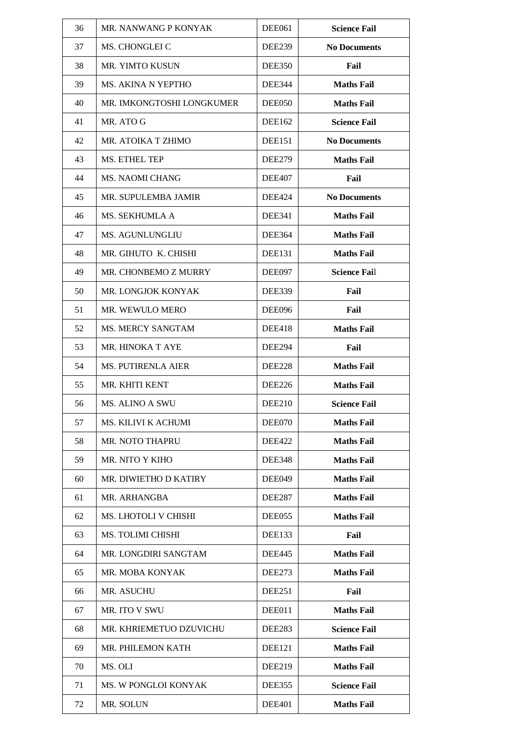| 36 | MR. NANWANG P KONYAK       | DEE061        | <b>Science Fail</b> |  |
|----|----------------------------|---------------|---------------------|--|
| 37 | MS. CHONGLEI C             | <b>DEE239</b> | <b>No Documents</b> |  |
| 38 | MR. YIMTO KUSUN            | <b>DEE350</b> | Fail                |  |
| 39 | MS. AKINA N YEPTHO         | <b>DEE344</b> | <b>Maths Fail</b>   |  |
| 40 | MR. IMKONGTOSHI LONGKUMER  | DEE050        | <b>Maths Fail</b>   |  |
| 41 | MR. ATO G                  | DEE162        | <b>Science Fail</b> |  |
| 42 | MR. ATOIKA T ZHIMO         | DEE151        | <b>No Documents</b> |  |
| 43 | MS. ETHEL TEP              | <b>DEE279</b> | <b>Maths Fail</b>   |  |
| 44 | <b>MS. NAOMI CHANG</b>     | <b>DEE407</b> | Fail                |  |
| 45 | MR. SUPULEMBA JAMIR        | <b>DEE424</b> | <b>No Documents</b> |  |
| 46 | MS. SEKHUMLA A             | <b>DEE341</b> | <b>Maths Fail</b>   |  |
| 47 | <b>MS. AGUNLUNGLIU</b>     | <b>DEE364</b> | <b>Maths Fail</b>   |  |
| 48 | MR. GIHUTO K. CHISHI       | <b>DEE131</b> | <b>Maths Fail</b>   |  |
| 49 | MR. CHONBEMO Z MURRY       | DEE097        | <b>Science Fail</b> |  |
| 50 | MR. LONGJOK KONYAK         | <b>DEE339</b> | Fail                |  |
| 51 | MR. WEWULO MERO            | <b>DEE096</b> | Fail                |  |
| 52 | <b>MS. MERCY SANGTAM</b>   | <b>DEE418</b> | <b>Maths Fail</b>   |  |
| 53 | MR. HINOKA T AYE           | <b>DEE294</b> | Fail                |  |
| 54 | <b>MS. PUTIRENLA AIER</b>  | <b>DEE228</b> | <b>Maths Fail</b>   |  |
| 55 | MR. KHITI KENT             | <b>DEE226</b> | <b>Maths Fail</b>   |  |
| 56 | <b>MS. ALINO A SWU</b>     | <b>DEE210</b> | <b>Science Fail</b> |  |
| 57 | <b>MS. KILIVI K ACHUMI</b> | DEE070        | <b>Maths Fail</b>   |  |
| 58 | MR. NOTO THAPRU            | <b>DEE422</b> | <b>Maths Fail</b>   |  |
| 59 | MR. NITO Y KIHO            | <b>DEE348</b> | <b>Maths Fail</b>   |  |
| 60 | MR. DIWIETHO D KATIRY      | DEE049        | <b>Maths Fail</b>   |  |
| 61 | MR. ARHANGBA               | <b>DEE287</b> | <b>Maths Fail</b>   |  |
| 62 | MS. LHOTOLI V CHISHI       | DEE055        | <b>Maths Fail</b>   |  |
| 63 | <b>MS. TOLIMI CHISHI</b>   | <b>DEE133</b> | Fail                |  |
| 64 | MR. LONGDIRI SANGTAM       | <b>DEE445</b> | <b>Maths Fail</b>   |  |
| 65 | MR. MOBA KONYAK            | DEE273        | <b>Maths Fail</b>   |  |
| 66 | MR. ASUCHU                 | DEE251        | Fail                |  |
| 67 | MR. ITO V SWU              | DEE011        | <b>Maths Fail</b>   |  |
| 68 | MR. KHRIEMETUO DZUVICHU    | <b>DEE283</b> | <b>Science Fail</b> |  |
| 69 | MR. PHILEMON KATH          | <b>DEE121</b> | <b>Maths Fail</b>   |  |
| 70 | MS. OLI                    | <b>DEE219</b> | <b>Maths Fail</b>   |  |
| 71 | MS. W PONGLOI KONYAK       | DEE355        | <b>Science Fail</b> |  |
| 72 | MR. SOLUN                  | <b>DEE401</b> | <b>Maths Fail</b>   |  |